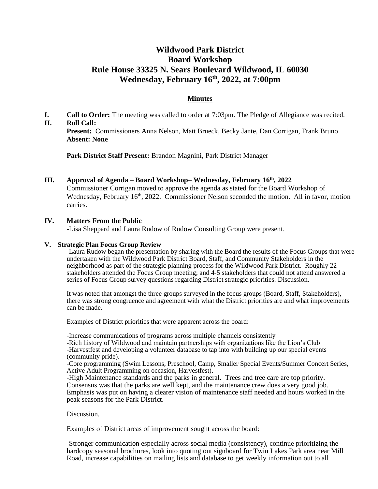# **Wildwood Park District Board Workshop Rule House 33325 N. Sears Boulevard Wildwood, IL 60030 Wednesday, February 16th , 2022, at 7:00pm**

# **Minutes**

**I. Call to Order:** The meeting was called to order at 7:03pm. The Pledge of Allegiance was recited. **II. Roll Call:**

**Present:** Commissioners Anna Nelson, Matt Brueck, Becky Jante, Dan Corrigan, Frank Bruno **Absent: None**

**Park District Staff Present:** Brandon Magnini, Park District Manager

### **III. Approval of Agenda – Board Workshop– Wednesday, February 16th, 2022**

Commissioner Corrigan moved to approve the agenda as stated for the Board Workshop of Wednesday, February  $16<sup>th</sup>$ , 2022. Commissioner Nelson seconded the motion. All in favor, motion carries.

# **IV. Matters From the Public**

-Lisa Sheppard and Laura Rudow of Rudow Consulting Group were present.

#### **V. Strategic Plan Focus Group Review**

-Laura Rudow began the presentation by sharing with the Board the results of the Focus Groups that were undertaken with the Wildwood Park District Board, Staff, and Community Stakeholders in the neighborhood as part of the strategic planning process for the Wildwood Park District. Roughly 22 stakeholders attended the Focus Group meeting; and 4-5 stakeholders that could not attend answered a series of Focus Group survey questions regarding District strategic priorities. Discussion.

It was noted that amongst the three groups surveyed in the focus groups (Board, Staff, Stakeholders), there was strong congruence and agreement with what the District priorities are and what improvements can be made.

Examples of District priorities that were apparent across the board:

-Increase communications of programs across multiple channels consistently

-Rich history of Wildwood and maintain partnerships with organizations like the Lion's Club -Harvestfest and developing a volunteer database to tap into with building up our special events (community pride).

-Core programming (Swim Lessons, Preschool, Camp, Smaller Special Events/Summer Concert Series, Active Adult Programming on occasion, Harvestfest).

-High Maintenance standards and the parks in general. Trees and tree care are top priority. Consensus was that the parks are well kept, and the maintenance crew does a very good job. Emphasis was put on having a clearer vision of maintenance staff needed and hours worked in the peak seasons for the Park District.

Discussion.

Examples of District areas of improvement sought across the board:

-Stronger communication especially across social media (consistency), continue prioritizing the hardcopy seasonal brochures, look into quoting out signboard for Twin Lakes Park area near Mill Road, increase capabilities on mailing lists and database to get weekly information out to all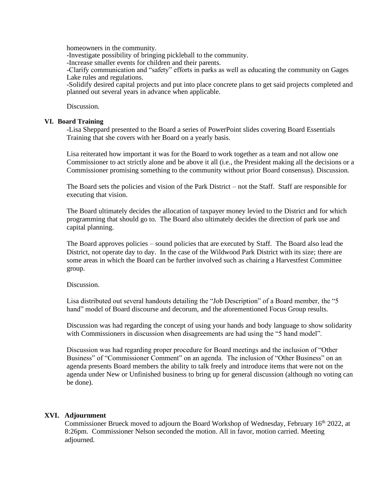homeowners in the community.

-Investigate possibility of bringing pickleball to the community.

-Increase smaller events for children and their parents.

-Clarify communication and "safety" efforts in parks as well as educating the community on Gages Lake rules and regulations.

-Solidify desired capital projects and put into place concrete plans to get said projects completed and planned out several years in advance when applicable.

Discussion.

### **VI. Board Training**

-Lisa Sheppard presented to the Board a series of PowerPoint slides covering Board Essentials Training that she covers with her Board on a yearly basis.

Lisa reiterated how important it was for the Board to work together as a team and not allow one Commissioner to act strictly alone and be above it all (i.e., the President making all the decisions or a Commissioner promising something to the community without prior Board consensus). Discussion.

The Board sets the policies and vision of the Park District – not the Staff. Staff are responsible for executing that vision.

The Board ultimately decides the allocation of taxpayer money levied to the District and for which programming that should go to. The Board also ultimately decides the direction of park use and capital planning.

The Board approves policies – sound policies that are executed by Staff. The Board also lead the District, not operate day to day. In the case of the Wildwood Park District with its size; there are some areas in which the Board can be further involved such as chairing a Harvestfest Committee group.

# Discussion.

Lisa distributed out several handouts detailing the "Job Description" of a Board member, the "5 hand" model of Board discourse and decorum, and the aforementioned Focus Group results.

Discussion was had regarding the concept of using your hands and body language to show solidarity with Commissioners in discussion when disagreements are had using the "5 hand model".

Discussion was had regarding proper procedure for Board meetings and the inclusion of "Other Business" of "Commissioner Comment" on an agenda. The inclusion of "Other Business" on an agenda presents Board members the ability to talk freely and introduce items that were not on the agenda under New or Unfinished business to bring up for general discussion (although no voting can be done).

# **XVI. Adjournment**

Commissioner Brueck moved to adjourn the Board Workshop of Wednesday, February 16<sup>th</sup> 2022, at 8:26pm. Commissioner Nelson seconded the motion. All in favor, motion carried. Meeting adjourned.